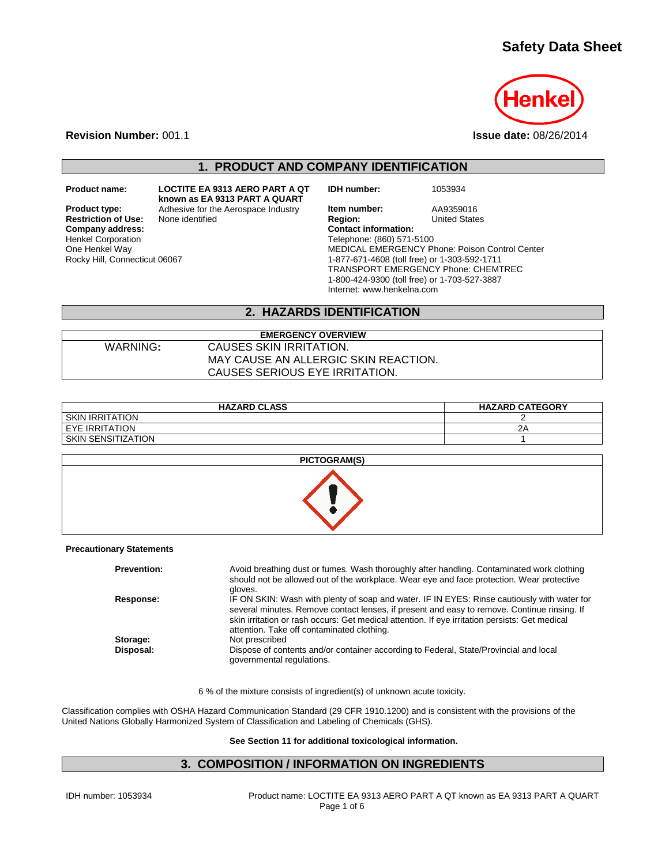# **Safety Data Sheet**



**Revision Number:** 001.1 **Issue date:** 08/26/2014

**1. PRODUCT AND COMPANY IDENTIFICATION**

**Restriction of Use:**<br>Company address: Henkel Corporation One Henkel Way Rocky Hill, Connecticut 06067

**Product name: LOCTITE EA 9313 AERO PART A QT known as EA 9313 PART A QUART**

**IDH number:** 1053934

**Product type:** Adhesive for the Aerospace Industry **Item number:** AA9359016<br> **Restriction of Use:** None identified **Region:** Region: United States **Company address: Contact information:** Telephone: (860) 571-5100 MEDICAL EMERGENCY Phone: Poison Control Center 1-877-671-4608 (toll free) or 1-303-592-1711 TRANSPORT EMERGENCY Phone: CHEMTREC 1-800-424-9300 (toll free) or 1-703-527-3887 Internet: www.henkelna.com

## **2. HAZARDS IDENTIFICATION**

## **EMERGENCY OVERVIEW** WARNING**:** CAUSES SKIN IRRITATION. MAY CAUSE AN ALLERGIC SKIN REACTION. CAUSES SERIOUS EYE IRRITATION.

| <b>HAZARD CLASS</b>  | <b>HAZARD CATEGORY</b> |
|----------------------|------------------------|
| I SKIN IRRITATION    |                        |
| I EYE IRRITATION     | 2P                     |
| I SKIN SENSITIZATION |                        |



#### **Precautionary Statements**

| <b>Prevention:</b> | Avoid breathing dust or fumes. Wash thoroughly after handling. Contaminated work clothing<br>should not be allowed out of the workplace. Wear eye and face protection. Wear protective<br>gloves.                                                                                                                                          |
|--------------------|--------------------------------------------------------------------------------------------------------------------------------------------------------------------------------------------------------------------------------------------------------------------------------------------------------------------------------------------|
| Response:          | IF ON SKIN: Wash with plenty of soap and water. IF IN EYES: Rinse cautiously with water for<br>several minutes. Remove contact lenses, if present and easy to remove. Continue rinsing. If<br>skin irritation or rash occurs: Get medical attention. If eye irritation persists: Get medical<br>attention. Take off contaminated clothing. |
| Storage:           | Not prescribed                                                                                                                                                                                                                                                                                                                             |
| Disposal:          | Dispose of contents and/or container according to Federal, State/Provincial and local<br>governmental regulations.                                                                                                                                                                                                                         |

6 % of the mixture consists of ingredient(s) of unknown acute toxicity.

Classification complies with OSHA Hazard Communication Standard (29 CFR 1910.1200) and is consistent with the provisions of the United Nations Globally Harmonized System of Classification and Labeling of Chemicals (GHS).

#### **See Section 11 for additional toxicological information.**

## **3. COMPOSITION / INFORMATION ON INGREDIENTS**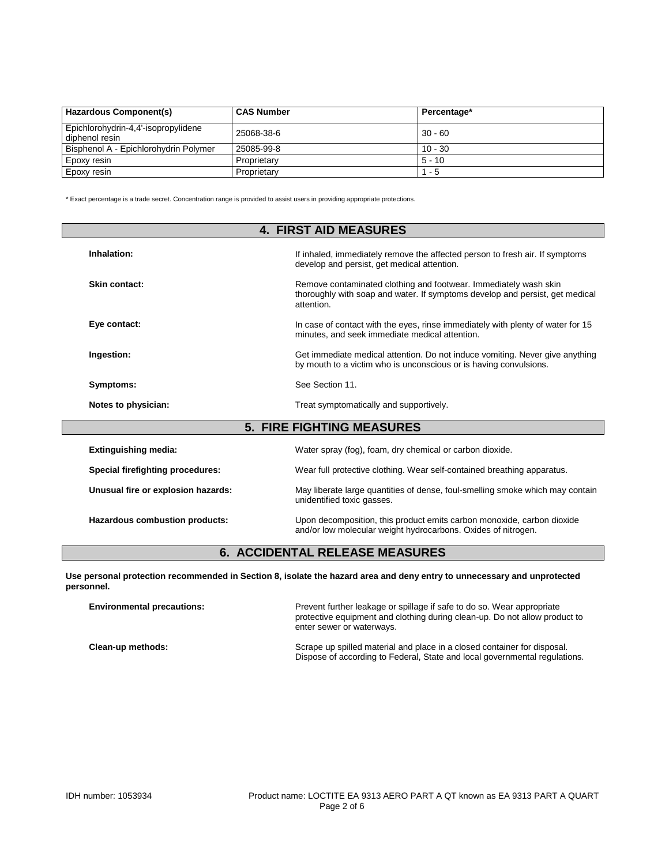| <b>Hazardous Component(s)</b>                         | <b>CAS Number</b> | Percentage* |
|-------------------------------------------------------|-------------------|-------------|
| Epichlorohydrin-4,4'-isopropylidene<br>diphenol resin | 25068-38-6        | $30 - 60$   |
| Bisphenol A - Epichlorohydrin Polymer                 | 25085-99-8        | $10 - 30$   |
| Epoxy resin                                           | Proprietary       | $5 - 10$    |
| Epoxy resin                                           | Proprietary       | - 5         |

\* Exact percentage is a trade secret. Concentration range is provided to assist users in providing appropriate protections.

|                                         | <b>4. FIRST AID MEASURES</b>                                                                                                                                   |
|-----------------------------------------|----------------------------------------------------------------------------------------------------------------------------------------------------------------|
| Inhalation:                             | If inhaled, immediately remove the affected person to fresh air. If symptoms<br>develop and persist, get medical attention.                                    |
| Skin contact:                           | Remove contaminated clothing and footwear. Immediately wash skin<br>thoroughly with soap and water. If symptoms develop and persist, get medical<br>attention. |
| Eye contact:                            | In case of contact with the eyes, rinse immediately with plenty of water for 15<br>minutes, and seek immediate medical attention.                              |
| Ingestion:                              | Get immediate medical attention. Do not induce vomiting. Never give anything<br>by mouth to a victim who is unconscious or is having convulsions.              |
| Symptoms:                               | See Section 11.                                                                                                                                                |
| Notes to physician:                     | Treat symptomatically and supportively.                                                                                                                        |
|                                         | <b>5. FIRE FIGHTING MEASURES</b>                                                                                                                               |
| <b>Extinguishing media:</b>             | Water spray (fog), foam, dry chemical or carbon dioxide.                                                                                                       |
| <b>Special firefighting procedures:</b> | Wear full protective clothing. Wear self-contained breathing apparatus.                                                                                        |
| Unusual fire or explosion hazards:      | May liberate large quantities of dense, foul-smelling smoke which may contain<br>unidentified toxic gasses.                                                    |
| Hazardous combustion products:          | Upon decomposition, this product emits carbon monoxide, carbon dioxide<br>and/or low molecular weight hydrocarbons. Oxides of nitrogen.                        |

# **6. ACCIDENTAL RELEASE MEASURES**

**Use personal protection recommended in Section 8, isolate the hazard area and deny entry to unnecessary and unprotected personnel.**

| <b>Environmental precautions:</b> | Prevent further leakage or spillage if safe to do so. Wear appropriate<br>protective equipment and clothing during clean-up. Do not allow product to<br>enter sewer or waterways. |
|-----------------------------------|-----------------------------------------------------------------------------------------------------------------------------------------------------------------------------------|
| Clean-up methods:                 | Scrape up spilled material and place in a closed container for disposal.<br>Dispose of according to Federal, State and local governmental regulations.                            |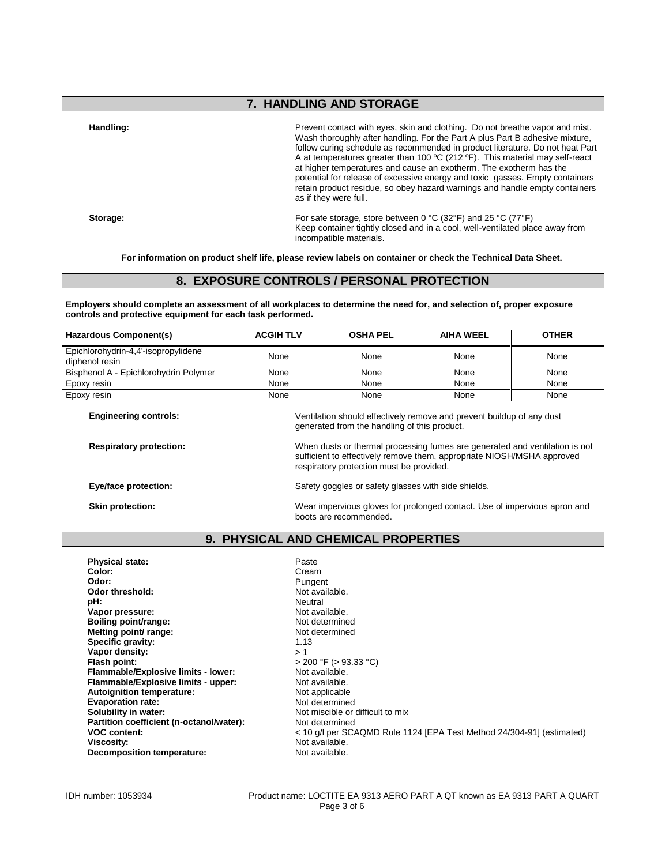# **7. HANDLING AND STORAGE**

Handling: **Handling: Prevent contact with eyes**, skin and clothing. Do not breathe vapor and mist. Wash thoroughly after handling. For the Part A plus Part B adhesive mixture, follow curing schedule as recommended in product literature. Do not heat Part A at temperatures greater than 100 ºC (212 ºF). This material may self-react at higher temperatures and cause an exotherm. The exotherm has the potential for release of excessive energy and toxic gasses. Empty containers retain product residue, so obey hazard warnings and handle empty containers as if they were full.

**Storage: Storage: For safe storage, store between 0 °C (32°F) and 25 °C (77°F)** Keep container tightly closed and in a cool, well-ventilated place away from incompatible materials.

**For information on product shelf life, please review labels on container or check the Technical Data Sheet.**

## **8. EXPOSURE CONTROLS / PERSONAL PROTECTION**

**Employers should complete an assessment of all workplaces to determine the need for, and selection of, proper exposure controls and protective equipment for each task performed.**

| Hazardous Component(s)                                | <b>ACGIH TLV</b> | <b>OSHA PEL</b>                                                       | <b>AIHA WEEL</b> | <b>OTHER</b> |
|-------------------------------------------------------|------------------|-----------------------------------------------------------------------|------------------|--------------|
| Epichlorohydrin-4,4'-isopropylidene<br>diphenol resin | None             | None                                                                  | None             | None         |
| Bisphenol A - Epichlorohydrin Polymer                 | None             | None                                                                  | None             | None         |
| Epoxy resin                                           | None             | None                                                                  | None             | None         |
| Epoxy resin                                           | None             | None                                                                  | None             | None         |
| <b>Engineering controls:</b>                          |                  | Ventilation should effectively remove and prevent buildup of any dust |                  |              |

generated from the handling of this product.

**Respiratory protection:** When dusts or thermal processing fumes are generated and ventilation is not sufficient to effectively remove them, appropriate NIOSH/MSHA approved respiratory protection must be provided.

**Eye/face protection:** Safety goggles or safety glasses with side shields.

**Skin protection:** Wear impervious gloves for prolonged contact. Use of impervious apron and boots are recommended.

### **9. PHYSICAL AND CHEMICAL PROPERTIES**

| <b>Physical state:</b>                   | Paste                                                                 |
|------------------------------------------|-----------------------------------------------------------------------|
| Color:                                   | Cream                                                                 |
| Odor:                                    | Pungent                                                               |
| Odor threshold:                          | Not available.                                                        |
| pH:                                      | Neutral                                                               |
| Vapor pressure:                          | Not available.                                                        |
| Boiling point/range:                     | Not determined                                                        |
| Melting point/ range:                    | Not determined                                                        |
| Specific gravity:                        | 1.13                                                                  |
| Vapor density:                           | >1                                                                    |
| Flash point:                             | $>$ 200 °F ( $>$ 93.33 °C)                                            |
| Flammable/Explosive limits - lower:      | Not available.                                                        |
| Flammable/Explosive limits - upper:      | Not available.                                                        |
| Autoignition temperature:                | Not applicable                                                        |
| <b>Evaporation rate:</b>                 | Not determined                                                        |
| Solubility in water:                     | Not miscible or difficult to mix                                      |
| Partition coefficient (n-octanol/water): | Not determined                                                        |
| <b>VOC content:</b>                      | < 10 g/l per SCAQMD Rule 1124 [EPA Test Method 24/304-91] (estimated) |
| Viscosity:                               | Not available.                                                        |
| Decomposition temperature:               | Not available.                                                        |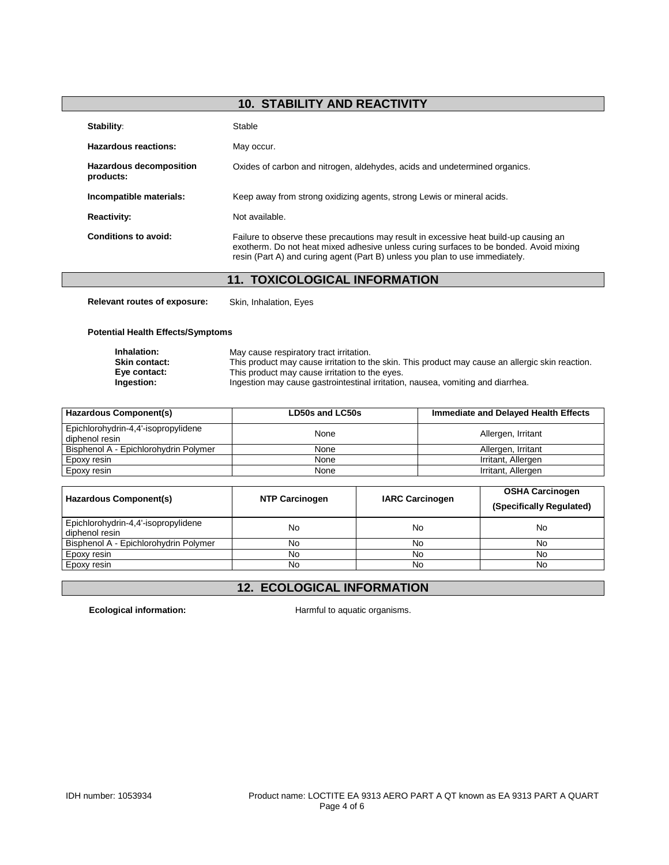# **10. STABILITY AND REACTIVITY**

| Stability:                                  | Stable                                                                                                                                                                                                                                                          |
|---------------------------------------------|-----------------------------------------------------------------------------------------------------------------------------------------------------------------------------------------------------------------------------------------------------------------|
| Hazardous reactions:                        | May occur.                                                                                                                                                                                                                                                      |
| <b>Hazardous decomposition</b><br>products: | Oxides of carbon and nitrogen, aldehydes, acids and undetermined organics.                                                                                                                                                                                      |
| Incompatible materials:                     | Keep away from strong oxidizing agents, strong Lewis or mineral acids.                                                                                                                                                                                          |
| <b>Reactivity:</b>                          | Not available.                                                                                                                                                                                                                                                  |
| Conditions to avoid:                        | Failure to observe these precautions may result in excessive heat build-up causing an<br>exotherm. Do not heat mixed adhesive unless curing surfaces to be bonded. Avoid mixing<br>resin (Part A) and curing agent (Part B) unless you plan to use immediately. |

# **11. TOXICOLOGICAL INFORMATION**

**Relevant routes of exposure:** Skin, Inhalation, Eyes

### **Potential Health Effects/Symptoms**

| Inhalation:   | May cause respiratory tract irritation.                                                          |
|---------------|--------------------------------------------------------------------------------------------------|
| Skin contact: | This product may cause irritation to the skin. This product may cause an allergic skin reaction. |
| Eye contact:  | This product may cause irritation to the eyes.                                                   |
| Ingestion:    | Ingestion may cause gastrointestinal irritation, nausea, vomiting and diarrhea.                  |

| Hazardous Component(s)                                | LD50s and LC50s | Immediate and Delayed Health Effects |
|-------------------------------------------------------|-----------------|--------------------------------------|
| Epichlorohydrin-4,4'-isopropylidene<br>diphenol resin | None            | Allergen, Irritant                   |
| Bisphenol A - Epichlorohydrin Polymer                 | None            | Allergen, Irritant                   |
| Epoxy resin                                           | None            | Irritant, Allergen                   |
| Epoxy resin                                           | None            | Irritant, Allergen                   |

| Hazardous Component(s)                                | <b>NTP Carcinogen</b> | <b>IARC Carcinogen</b> | <b>OSHA Carcinogen</b><br>(Specifically Regulated) |
|-------------------------------------------------------|-----------------------|------------------------|----------------------------------------------------|
| Epichlorohydrin-4,4'-isopropylidene<br>diphenol resin | No                    | No                     | No                                                 |
| Bisphenol A - Epichlorohydrin Polymer                 | No                    | No                     | No                                                 |
| Epoxy resin                                           | No                    | No                     | No                                                 |
| Epoxy resin                                           | No                    | No                     | No                                                 |

# **12. ECOLOGICAL INFORMATION**

Ecological information: **Harmful to aquatic organisms.**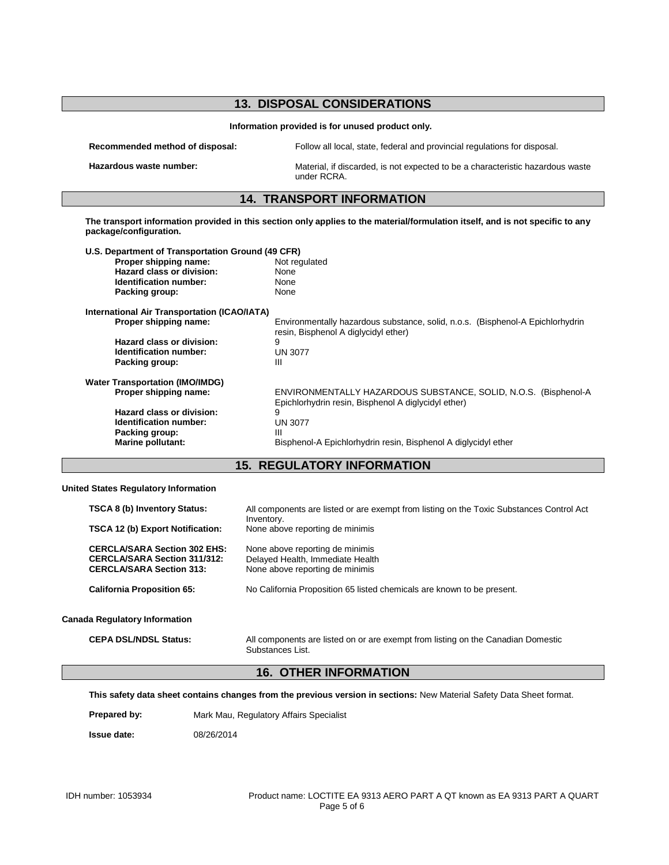|                                                                                                                        | <b>13. DISPOSAL CONSIDERATIONS</b>                                                                                             |
|------------------------------------------------------------------------------------------------------------------------|--------------------------------------------------------------------------------------------------------------------------------|
|                                                                                                                        | Information provided is for unused product only.                                                                               |
| Recommended method of disposal:                                                                                        | Follow all local, state, federal and provincial regulations for disposal.                                                      |
| Hazardous waste number:                                                                                                | Material, if discarded, is not expected to be a characteristic hazardous waste<br>under RCRA.                                  |
|                                                                                                                        | <b>14. TRANSPORT INFORMATION</b>                                                                                               |
| package/configuration.                                                                                                 | The transport information provided in this section only applies to the material/formulation itself, and is not specific to any |
| U.S. Department of Transportation Ground (49 CFR)                                                                      |                                                                                                                                |
| Proper shipping name:                                                                                                  | Not regulated                                                                                                                  |
| Hazard class or division:                                                                                              | None                                                                                                                           |
| Identification number:                                                                                                 | None                                                                                                                           |
| Packing group:                                                                                                         | None                                                                                                                           |
|                                                                                                                        |                                                                                                                                |
|                                                                                                                        |                                                                                                                                |
| Proper shipping name:                                                                                                  | Environmentally hazardous substance, solid, n.o.s. (Bisphenol-A Epichlorhydrin                                                 |
| <b>Hazard class or division:</b>                                                                                       | resin, Bisphenol A diglycidyl ether)<br>9                                                                                      |
| Identification number:                                                                                                 | <b>UN 3077</b>                                                                                                                 |
| Packing group:                                                                                                         | Ш                                                                                                                              |
|                                                                                                                        |                                                                                                                                |
| <b>International Air Transportation (ICAO/IATA)</b><br><b>Water Transportation (IMO/IMDG)</b><br>Proper shipping name: | ENVIRONMENTALLY HAZARDOUS SUBSTANCE, SOLID, N.O.S. (Bisphenol-A                                                                |
| Hazard class or division:                                                                                              | Epichlorhydrin resin, Bisphenol A diglycidyl ether)<br>g                                                                       |
| <b>Identification number:</b>                                                                                          | <b>UN 3077</b>                                                                                                                 |
| Packing group:                                                                                                         | Ш                                                                                                                              |

## **15. REGULATORY INFORMATION**

### **United States Regulatory Information**

| <b>TSCA 8 (b) Inventory Status:</b>                                                                           | All components are listed or are exempt from listing on the Toxic Substances Control Act               |
|---------------------------------------------------------------------------------------------------------------|--------------------------------------------------------------------------------------------------------|
| <b>TSCA 12 (b) Export Notification:</b>                                                                       | Inventory.<br>None above reporting de minimis                                                          |
| <b>CERCLA/SARA Section 302 EHS:</b><br><b>CERCLA/SARA Section 311/312:</b><br><b>CERCLA/SARA Section 313:</b> | None above reporting de minimis<br>Delayed Health, Immediate Health<br>None above reporting de minimis |
| <b>California Proposition 65:</b>                                                                             | No California Proposition 65 listed chemicals are known to be present.                                 |
| Canada Regulatory Information                                                                                 |                                                                                                        |
| <b>CEPA DSL/NDSL Status:</b>                                                                                  | All components are listed on or are exempt from listing on the Canadian Domestic<br>Substances List.   |

# **16. OTHER INFORMATION**

**This safety data sheet contains changes from the previous version in sections:** New Material Safety Data Sheet format.

**Prepared by:** Mark Mau, Regulatory Affairs Specialist

**Issue date:** 08/26/2014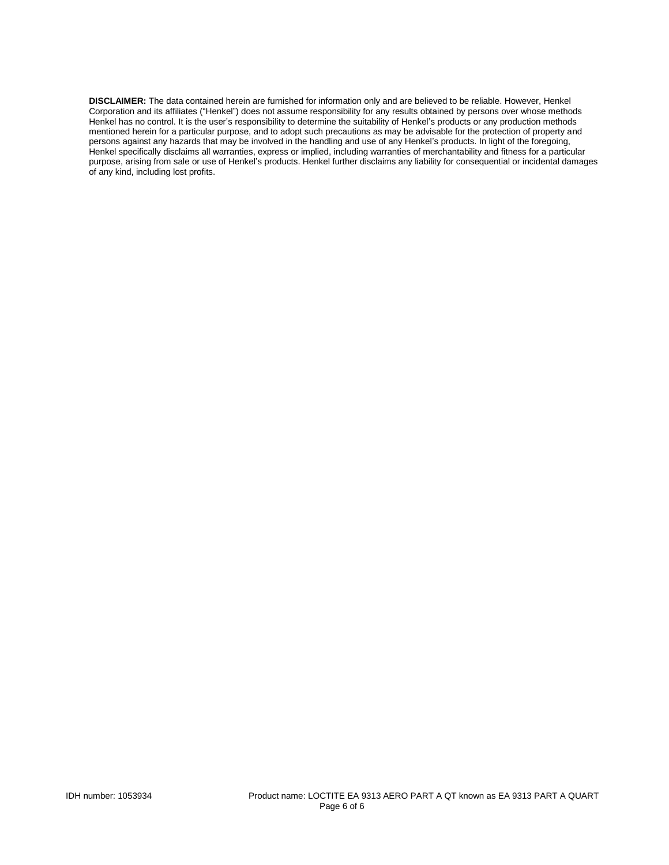**DISCLAIMER:** The data contained herein are furnished for information only and are believed to be reliable. However, Henkel Corporation and its affiliates ("Henkel") does not assume responsibility for any results obtained by persons over whose methods Henkel has no control. It is the user's responsibility to determine the suitability of Henkel's products or any production methods mentioned herein for a particular purpose, and to adopt such precautions as may be advisable for the protection of property and persons against any hazards that may be involved in the handling and use of any Henkel's products. In light of the foregoing, Henkel specifically disclaims all warranties, express or implied, including warranties of merchantability and fitness for a particular purpose, arising from sale or use of Henkel's products. Henkel further disclaims any liability for consequential or incidental damages of any kind, including lost profits.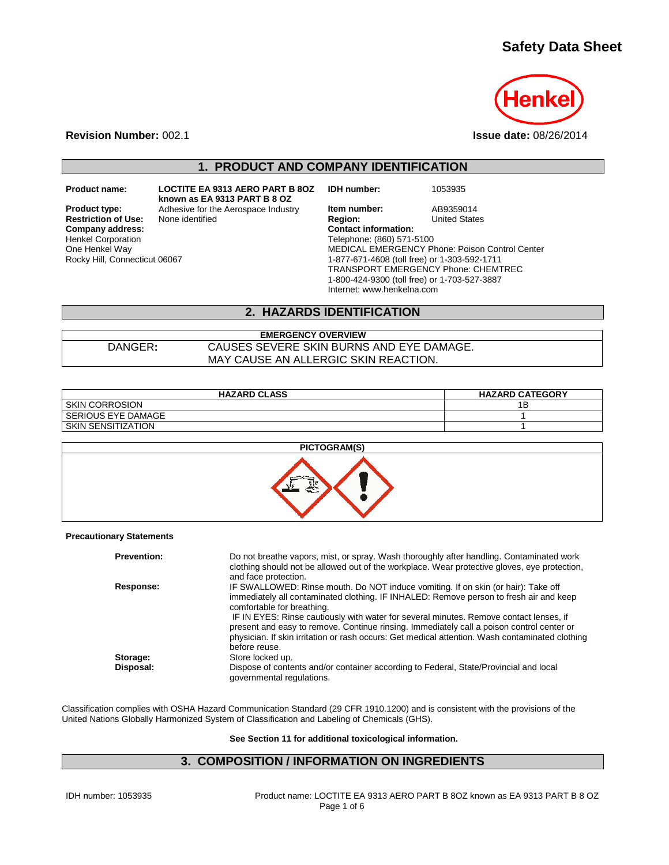# **Safety Data Sheet**



**Revision Number:** 002.1 **Issue date:** 08/26/2014

**1. PRODUCT AND COMPANY IDENTIFICATION**

**Restriction of Use:**<br>Company address: Henkel Corporation One Henkel Way Rocky Hill, Connecticut 06067

**Product name: LOCTITE EA 9313 AERO PART B 8OZ known as EA 9313 PART B 8 OZ Product type:** Adhesive for the Aerospace Industry **Item number:** AB9359014<br> **Restriction of Use:** None identified **Region:** Region: United States

**IDH number:** 1053935

**Company address: Contact information:** Telephone: (860) 571-5100 MEDICAL EMERGENCY Phone: Poison Control Center 1-877-671-4608 (toll free) or 1-303-592-1711 TRANSPORT EMERGENCY Phone: CHEMTREC 1-800-424-9300 (toll free) or 1-703-527-3887 Internet: www.henkelna.com

## **2. HAZARDS IDENTIFICATION**

## **EMERGENCY OVERVIEW** DANGER**:** CAUSES SEVERE SKIN BURNS AND EYE DAMAGE. MAY CAUSE AN ALLERGIC SKIN REACTION.

| <b>HAZARD CLASS</b>   | <b>HAZARD CATEGORY</b> |
|-----------------------|------------------------|
| <b>SKIN CORROSION</b> |                        |
| l SERIOUS EYE DAMAGE  |                        |
| I SKIN SENSITIZATION  |                        |



#### **Precautionary Statements**

| <b>Prevention:</b> | Do not breathe vapors, mist, or spray. Wash thoroughly after handling. Contaminated work<br>clothing should not be allowed out of the workplace. Wear protective gloves, eye protection,<br>and face protection.                                                                                                                                                                                                                                                                                                     |
|--------------------|----------------------------------------------------------------------------------------------------------------------------------------------------------------------------------------------------------------------------------------------------------------------------------------------------------------------------------------------------------------------------------------------------------------------------------------------------------------------------------------------------------------------|
| Response:          | IF SWALLOWED: Rinse mouth. Do NOT induce vomiting. If on skin (or hair): Take off<br>immediately all contaminated clothing. IF INHALED: Remove person to fresh air and keep<br>comfortable for breathing.<br>IF IN EYES: Rinse cautiously with water for several minutes. Remove contact lenses, if<br>present and easy to remove. Continue rinsing. Immediately call a poison control center or<br>physician. If skin irritation or rash occurs: Get medical attention. Wash contaminated clothing<br>before reuse. |
| Storage:           | Store locked up.                                                                                                                                                                                                                                                                                                                                                                                                                                                                                                     |
| Disposal:          | Dispose of contents and/or container according to Federal, State/Provincial and local<br>governmental regulations.                                                                                                                                                                                                                                                                                                                                                                                                   |

Classification complies with OSHA Hazard Communication Standard (29 CFR 1910.1200) and is consistent with the provisions of the United Nations Globally Harmonized System of Classification and Labeling of Chemicals (GHS).

**See Section 11 for additional toxicological information.**

## **3. COMPOSITION / INFORMATION ON INGREDIENTS**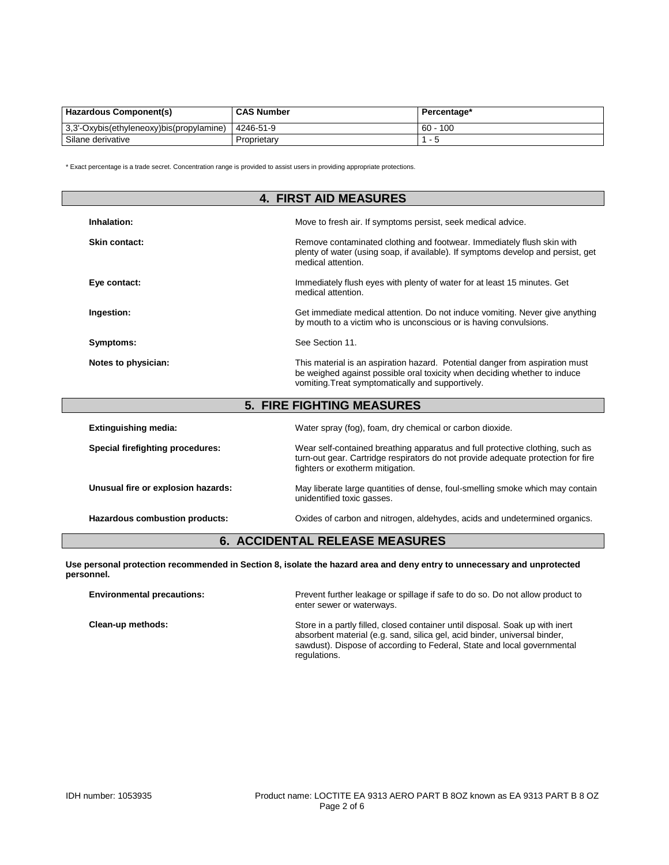| <b>Hazardous Component(s)</b>            | <b>CAS Number</b> | Percentage*   |
|------------------------------------------|-------------------|---------------|
| 3,3'-Oxybis(ethyleneoxy)bis(propylamine) | 4246-51-9         | 100<br>$60 -$ |
| Silane derivative                        | Proprietary       | - 5           |

\* Exact percentage is a trade secret. Concentration range is provided to assist users in providing appropriate protections.

| <b>4. FIRST AID MEASURES</b>          |                                                                                                                                                                                                                |  |
|---------------------------------------|----------------------------------------------------------------------------------------------------------------------------------------------------------------------------------------------------------------|--|
| Inhalation:                           | Move to fresh air. If symptoms persist, seek medical advice.                                                                                                                                                   |  |
| Skin contact:                         | Remove contaminated clothing and footwear. Immediately flush skin with<br>plenty of water (using soap, if available). If symptoms develop and persist, get<br>medical attention.                               |  |
| Eye contact:                          | Immediately flush eyes with plenty of water for at least 15 minutes. Get<br>medical attention.                                                                                                                 |  |
| Ingestion:                            | Get immediate medical attention. Do not induce vomiting. Never give anything<br>by mouth to a victim who is unconscious or is having convulsions.                                                              |  |
| Symptoms:                             | See Section 11.                                                                                                                                                                                                |  |
| Notes to physician:                   | This material is an aspiration hazard. Potential danger from aspiration must<br>be weighed against possible oral toxicity when deciding whether to induce<br>vomiting. Treat symptomatically and supportively. |  |
|                                       | <b>5. FIRE FIGHTING MEASURES</b>                                                                                                                                                                               |  |
| <b>Extinguishing media:</b>           | Water spray (fog), foam, dry chemical or carbon dioxide.                                                                                                                                                       |  |
| Special firefighting procedures:      | Wear self-contained breathing apparatus and full protective clothing, such as<br>turn-out gear. Cartridge respirators do not provide adequate protection for fire<br>fighters or exotherm mitigation.          |  |
| Unusual fire or explosion hazards:    | May liberate large quantities of dense, foul-smelling smoke which may contain<br>unidentified toxic gasses.                                                                                                    |  |
| Hazardous combustion products:        | Oxides of carbon and nitrogen, aldehydes, acids and undetermined organics.                                                                                                                                     |  |
| <b>6. ACCIDENTAL RELEASE MEASURES</b> |                                                                                                                                                                                                                |  |

**Use personal protection recommended in Section 8, isolate the hazard area and deny entry to unnecessary and unprotected personnel.**

| <b>Environmental precautions:</b> | Prevent further leakage or spillage if safe to do so. Do not allow product to<br>enter sewer or waterways.                                                                                                                                            |
|-----------------------------------|-------------------------------------------------------------------------------------------------------------------------------------------------------------------------------------------------------------------------------------------------------|
| Clean-up methods:                 | Store in a partly filled, closed container until disposal. Soak up with inert<br>absorbent material (e.g. sand, silica gel, acid binder, universal binder,<br>sawdust). Dispose of according to Federal, State and local governmental<br>regulations. |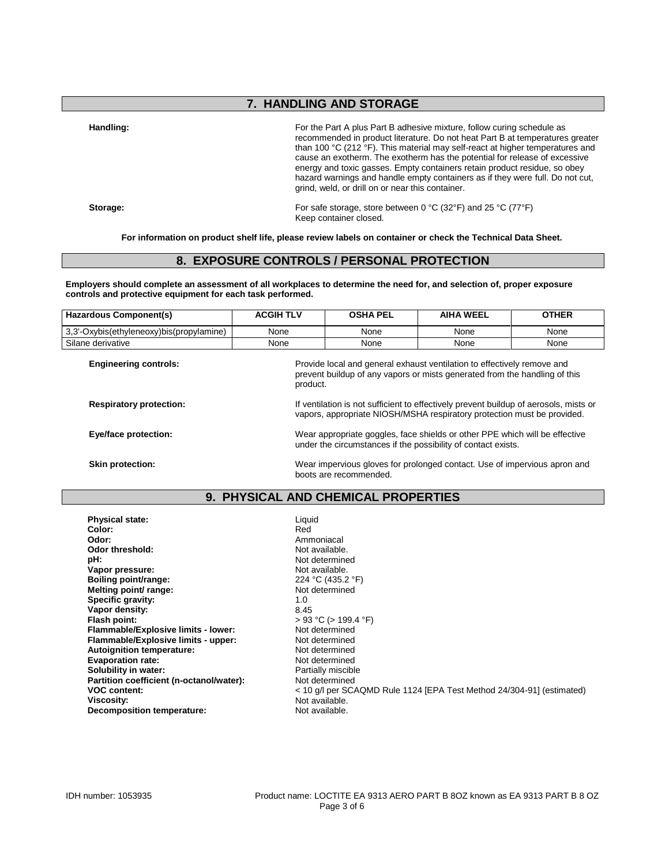# **7. HANDLING AND STORAGE**

**Handling:** For the Part A plus Part B adhesive mixture, follow curing schedule as recommended in product literature. Do not heat Part B at temperatures greater than 100 °C (212 °F). This material may self-react at higher temperatures and cause an exotherm. The exotherm has the potential for release of excessive energy and toxic gasses. Empty containers retain product residue, so obey hazard warnings and handle empty containers as if they were full. Do not cut, grind, weld, or drill on or near this container.

**Storage:** For safe storage, store between 0 °C (32°F) and 25 °C (77°F) Keep container closed.

**For information on product shelf life, please review labels on container or check the Technical Data Sheet.**

## **8. EXPOSURE CONTROLS / PERSONAL PROTECTION**

**Employers should complete an assessment of all workplaces to determine the need for, and selection of, proper exposure controls and protective equipment for each task performed.**

| <b>Hazardous Component(s)</b>            | <b>ACGIH TLV</b>                                                                                                                                                  | <b>OSHA PEL</b> | <b>AIHA WEEL</b> | <b>OTHER</b> |
|------------------------------------------|-------------------------------------------------------------------------------------------------------------------------------------------------------------------|-----------------|------------------|--------------|
| 3,3'-Oxybis(ethyleneoxy)bis(propylamine) | None                                                                                                                                                              | None            | None             | None         |
| Silane derivative                        | None                                                                                                                                                              | None            | None             | None         |
| <b>Engineering controls:</b>             | Provide local and general exhaust ventilation to effectively remove and<br>prevent buildup of any vapors or mists generated from the handling of this<br>product. |                 |                  |              |
| <b>Respiratory protection:</b>           | If ventilation is not sufficient to effectively prevent buildup of aerosols, mists or<br>vapors, appropriate NIOSH/MSHA respiratory protection must be provided.  |                 |                  |              |
| Eye/face protection:                     | Wear appropriate goggles, face shields or other PPE which will be effective<br>under the circumstances if the possibility of contact exists.                      |                 |                  |              |
| <b>Skin protection:</b>                  | Wear impervious gloves for prolonged contact. Use of impervious apron and<br>boots are recommended.                                                               |                 |                  |              |

## **9. PHYSICAL AND CHEMICAL PROPERTIES**

| <b>Physical state:</b>                   | Liquid                                                                |
|------------------------------------------|-----------------------------------------------------------------------|
| Color:                                   | Red                                                                   |
| Odor:                                    | Ammoniacal                                                            |
| Odor threshold:                          | Not available.                                                        |
| pH:                                      | Not determined                                                        |
| Vapor pressure:                          | Not available.                                                        |
| Boiling point/range:                     | 224 °C (435.2 °F)                                                     |
| Melting point/ range:                    | Not determined                                                        |
| Specific gravity:                        | 1.0                                                                   |
| Vapor density:                           | 8.45                                                                  |
| Flash point:                             | $> 93$ °C ( $> 199.4$ °F)                                             |
| Flammable/Explosive limits - lower:      | Not determined                                                        |
| Flammable/Explosive limits - upper:      | Not determined                                                        |
| <b>Autoignition temperature:</b>         | Not determined                                                        |
| <b>Evaporation rate:</b>                 | Not determined                                                        |
| Solubility in water:                     | Partially miscible                                                    |
|                                          |                                                                       |
| Partition coefficient (n-octanol/water): | Not determined                                                        |
| <b>VOC content:</b>                      | < 10 g/l per SCAQMD Rule 1124 [EPA Test Method 24/304-91] (estimated) |
| Viscosity:                               | Not available.                                                        |
| <b>Decomposition temperature:</b>        | Not available.                                                        |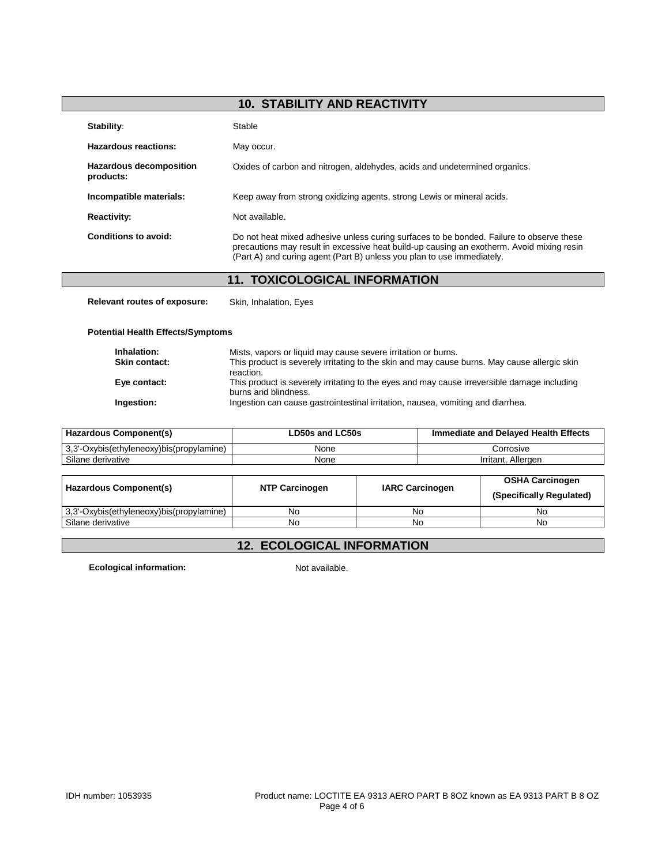# **10. STABILITY AND REACTIVITY**

| Stability:                                  | Stable                                                                                                                                                                                                                                                          |
|---------------------------------------------|-----------------------------------------------------------------------------------------------------------------------------------------------------------------------------------------------------------------------------------------------------------------|
| Hazardous reactions:                        | May occur.                                                                                                                                                                                                                                                      |
| <b>Hazardous decomposition</b><br>products: | Oxides of carbon and nitrogen, aldehydes, acids and undetermined organics.                                                                                                                                                                                      |
| Incompatible materials:                     | Keep away from strong oxidizing agents, strong Lewis or mineral acids.                                                                                                                                                                                          |
| <b>Reactivity:</b>                          | Not available.                                                                                                                                                                                                                                                  |
| Conditions to avoid:                        | Do not heat mixed adhesive unless curing surfaces to be bonded. Failure to observe these<br>precautions may result in excessive heat build-up causing an exotherm. Avoid mixing resin<br>(Part A) and curing agent (Part B) unless you plan to use immediately. |

# **11. TOXICOLOGICAL INFORMATION**

**Relevant routes of exposure:** Skin, Inhalation, Eyes

### **Potential Health Effects/Symptoms**

| Inhalation:<br><b>Skin contact:</b> | Mists, vapors or liquid may cause severe irritation or burns.<br>This product is severely irritating to the skin and may cause burns. May cause allergic skin |
|-------------------------------------|---------------------------------------------------------------------------------------------------------------------------------------------------------------|
|                                     | reaction.                                                                                                                                                     |
| Eye contact:                        | This product is severely irritating to the eyes and may cause irreversible damage including<br>burns and blindness.                                           |
| Ingestion:                          | Ingestion can cause gastrointestinal irritation, nausea, vomiting and diarrhea.                                                                               |

| Hazardous Component(s)                   | LD50s and LC50s | <b>Immediate and Delayed Health Effects</b> |  |
|------------------------------------------|-----------------|---------------------------------------------|--|
| 3.3'-Oxybis(ethyleneoxy)bis(propylamine) | None            | Corrosive                                   |  |
| Silane derivative                        | None            | Irritant, Allergen                          |  |

| Hazardous Component(s)                   | <b>NTP Carcinogen</b> | <b>IARC Carcinogen</b> | <b>OSHA Carcinogen</b><br>(Specifically Regulated) |
|------------------------------------------|-----------------------|------------------------|----------------------------------------------------|
| 3.3'-Oxybis(ethyleneoxy)bis(propylamine) | No                    | No                     | No                                                 |
| Silane derivative                        | No                    | No                     | No                                                 |

# **12. ECOLOGICAL INFORMATION**

**Ecological information:** Not available.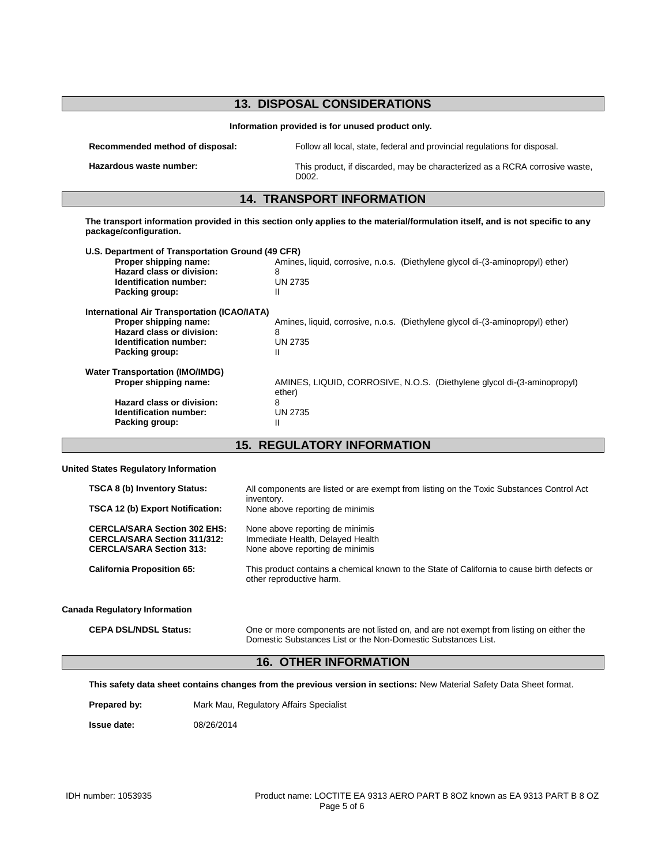| <b>13. DISPOSAL CONSIDERATIONS</b><br>Information provided is for unused product only.                                                                                        |                                                                                                            |
|-------------------------------------------------------------------------------------------------------------------------------------------------------------------------------|------------------------------------------------------------------------------------------------------------|
|                                                                                                                                                                               |                                                                                                            |
| Hazardous waste number:                                                                                                                                                       | This product, if discarded, may be characterized as a RCRA corrosive waste,<br>D <sub>0</sub> 02.          |
|                                                                                                                                                                               | <b>14. TRANSPORT INFORMATION</b>                                                                           |
| package/configuration.<br>U.S. Department of Transportation Ground (49 CFR)<br>Proper shipping name:<br>Hazard class or division:<br>Identification number:<br>Packing group: | Amines, liquid, corrosive, n.o.s. (Diethylene glycol di-(3-aminopropyl) ether)<br>8<br><b>UN 2735</b><br>Ш |
| <b>International Air Transportation (ICAO/IATA)</b><br>Proper shipping name:<br>Hazard class or division:<br>Identification number:<br>Packing group:                         | Amines, liquid, corrosive, n.o.s. (Diethylene glycol di-(3-aminopropyl) ether)<br>8<br><b>UN 2735</b>      |
|                                                                                                                                                                               | Ш                                                                                                          |

**Hazard class or division:** 8<br> **Identification number:** UN 2735 **Identification number:** U<br> **Packing group:** II **Packing group:** 

ether)

**15. REGULATORY INFORMATION**

### **United States Regulatory Information**

| <b>TSCA 8 (b) Inventory Status:</b>                                                                           | All components are listed or are exempt from listing on the Toxic Substances Control Act<br>inventory.                  |
|---------------------------------------------------------------------------------------------------------------|-------------------------------------------------------------------------------------------------------------------------|
| <b>TSCA 12 (b) Export Notification:</b>                                                                       | None above reporting de minimis                                                                                         |
| <b>CERCLA/SARA Section 302 EHS:</b><br><b>CERCLA/SARA Section 311/312:</b><br><b>CERCLA/SARA Section 313:</b> | None above reporting de minimis<br>Immediate Health, Delayed Health<br>None above reporting de minimis                  |
| <b>California Proposition 65:</b>                                                                             | This product contains a chemical known to the State of California to cause birth defects or<br>other reproductive harm. |
| <b>Canada Regulatory Information</b>                                                                          |                                                                                                                         |

**CEPA DSL/NDSL Status:** One or more components are not listed on, and are not exempt from listing on either the Domestic Substances List or the Non-Domestic Substances List.

# **16. OTHER INFORMATION**

**This safety data sheet contains changes from the previous version in sections:** New Material Safety Data Sheet format.

Prepared by: Mark Mau, Regulatory Affairs Specialist

**Issue date:** 08/26/2014